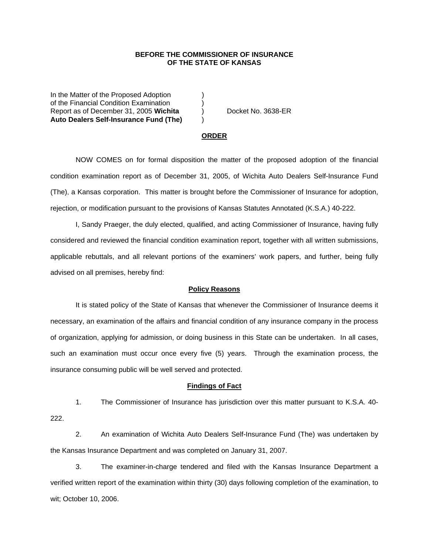## **BEFORE THE COMMISSIONER OF INSURANCE OF THE STATE OF KANSAS**

In the Matter of the Proposed Adoption of the Financial Condition Examination ) Report as of December 31, 2005 **Wichita** (a) Docket No. 3638-ER **Auto Dealers Self-Insurance Fund (The)** )

#### **ORDER**

 NOW COMES on for formal disposition the matter of the proposed adoption of the financial condition examination report as of December 31, 2005, of Wichita Auto Dealers Self-Insurance Fund (The), a Kansas corporation. This matter is brought before the Commissioner of Insurance for adoption, rejection, or modification pursuant to the provisions of Kansas Statutes Annotated (K.S.A.) 40-222.

 I, Sandy Praeger, the duly elected, qualified, and acting Commissioner of Insurance, having fully considered and reviewed the financial condition examination report, together with all written submissions, applicable rebuttals, and all relevant portions of the examiners' work papers, and further, being fully advised on all premises, hereby find:

### **Policy Reasons**

 It is stated policy of the State of Kansas that whenever the Commissioner of Insurance deems it necessary, an examination of the affairs and financial condition of any insurance company in the process of organization, applying for admission, or doing business in this State can be undertaken. In all cases, such an examination must occur once every five (5) years. Through the examination process, the insurance consuming public will be well served and protected.

#### **Findings of Fact**

 1. The Commissioner of Insurance has jurisdiction over this matter pursuant to K.S.A. 40- 222.

 2. An examination of Wichita Auto Dealers Self-Insurance Fund (The) was undertaken by the Kansas Insurance Department and was completed on January 31, 2007.

 3. The examiner-in-charge tendered and filed with the Kansas Insurance Department a verified written report of the examination within thirty (30) days following completion of the examination, to wit; October 10, 2006.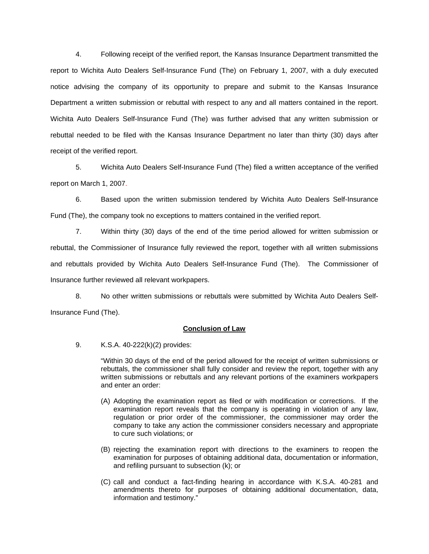4. Following receipt of the verified report, the Kansas Insurance Department transmitted the report to Wichita Auto Dealers Self-Insurance Fund (The) on February 1, 2007, with a duly executed notice advising the company of its opportunity to prepare and submit to the Kansas Insurance Department a written submission or rebuttal with respect to any and all matters contained in the report. Wichita Auto Dealers Self-Insurance Fund (The) was further advised that any written submission or rebuttal needed to be filed with the Kansas Insurance Department no later than thirty (30) days after receipt of the verified report.

 5. Wichita Auto Dealers Self-Insurance Fund (The) filed a written acceptance of the verified report on March 1, 2007.

6. Based upon the written submission tendered by Wichita Auto Dealers Self-Insurance Fund (The), the company took no exceptions to matters contained in the verified report.

 7. Within thirty (30) days of the end of the time period allowed for written submission or rebuttal, the Commissioner of Insurance fully reviewed the report, together with all written submissions and rebuttals provided by Wichita Auto Dealers Self-Insurance Fund (The). The Commissioner of Insurance further reviewed all relevant workpapers.

 8. No other written submissions or rebuttals were submitted by Wichita Auto Dealers Self-Insurance Fund (The).

# **Conclusion of Law**

9. K.S.A. 40-222(k)(2) provides:

"Within 30 days of the end of the period allowed for the receipt of written submissions or rebuttals, the commissioner shall fully consider and review the report, together with any written submissions or rebuttals and any relevant portions of the examiners workpapers and enter an order:

- (A) Adopting the examination report as filed or with modification or corrections. If the examination report reveals that the company is operating in violation of any law, regulation or prior order of the commissioner, the commissioner may order the company to take any action the commissioner considers necessary and appropriate to cure such violations; or
- (B) rejecting the examination report with directions to the examiners to reopen the examination for purposes of obtaining additional data, documentation or information, and refiling pursuant to subsection (k); or
- (C) call and conduct a fact-finding hearing in accordance with K.S.A. 40-281 and amendments thereto for purposes of obtaining additional documentation, data, information and testimony."